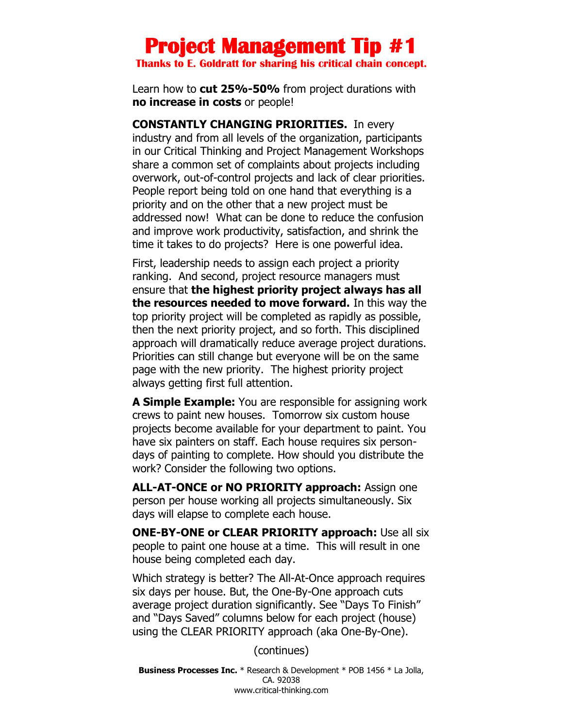# **Project Management Tip #1**

**Thanks to E. Goldratt for sharing his critical chain concept.**

Learn how to **cut 25%-50%** from project durations with **no increase in costs** or people!

**CONSTANTLY CHANGING PRIORITIES.** In every industry and from all levels of the organization, participants in our Critical Thinking and Project Management Workshops share a common set of complaints about projects including overwork, out-of-control projects and lack of clear priorities. People report being told on one hand that everything is a priority and on the other that a new project must be addressed now! What can be done to reduce the confusion and improve work productivity, satisfaction, and shrink the time it takes to do projects? Here is one powerful idea.

First, leadership needs to assign each project a priority ranking. And second, project resource managers must ensure that **the highest priority project always has all the resources needed to move forward.** In this way the top priority project will be completed as rapidly as possible, then the next priority project, and so forth. This disciplined approach will dramatically reduce average project durations. Priorities can still change but everyone will be on the same page with the new priority. The highest priority project always getting first full attention.

**A Simple Example:** You are responsible for assigning work crews to paint new houses. Tomorrow six custom house projects become available for your department to paint. You have six painters on staff. Each house requires six persondays of painting to complete. How should you distribute the work? Consider the following two options.

**ALL-AT-ONCE or NO PRIORITY approach:** Assign one person per house working all projects simultaneously. Six days will elapse to complete each house.

**ONE-BY-ONE or CLEAR PRIORITY approach:** Use all six people to paint one house at a time. This will result in one house being completed each day.

Which strategy is better? The All-At-Once approach requires six days per house. But, the One-By-One approach cuts average project duration significantly. See "Days To Finish" and "Days Saved" columns below for each project (house) using the CLEAR PRIORITY approach (aka One-By-One).

(continues)

**Business Processes Inc.** \* Research & Development \* POB 1456 \* La Jolla, CA. 92038 www.critical-thinking.com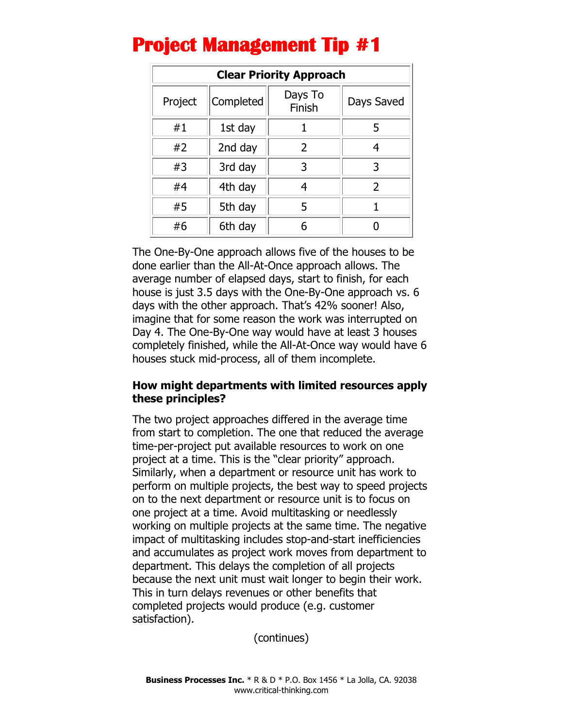| <b>Clear Priority Approach</b> |           |                   |                |
|--------------------------------|-----------|-------------------|----------------|
| Project                        | Completed | Days To<br>Finish | Days Saved     |
| #1                             | 1st day   |                   | 5              |
| #2                             | 2nd day   | $\overline{2}$    | 4              |
| #3                             | 3rd day   | 3                 | 3              |
| #4                             | 4th day   |                   | $\overline{2}$ |
| #5                             | 5th day   | 5                 |                |
| #6                             | 6th day   | 6                 |                |

## **Project Management Tip #1**

The One-By-One approach allows five of the houses to be done earlier than the All-At-Once approach allows. The average number of elapsed days, start to finish, for each house is just 3.5 days with the One-By-One approach vs. 6 days with the other approach. That's 42% sooner! Also, imagine that for some reason the work was interrupted on Day 4. The One-By-One way would have at least 3 houses completely finished, while the All-At-Once way would have 6 houses stuck mid-process, all of them incomplete.

### **How might departments with limited resources apply these principles?**

The two project approaches differed in the average time from start to completion. The one that reduced the average time-per-project put available resources to work on one project at a time. This is the "clear priority" approach. Similarly, when a department or resource unit has work to perform on multiple projects, the best way to speed projects on to the next department or resource unit is to focus on one project at a time. Avoid multitasking or needlessly working on multiple projects at the same time. The negative impact of multitasking includes stop-and-start inefficiencies and accumulates as project work moves from department to department. This delays the completion of all projects because the next unit must wait longer to begin their work. This in turn delays revenues or other benefits that completed projects would produce (e.g. customer satisfaction).

(continues)